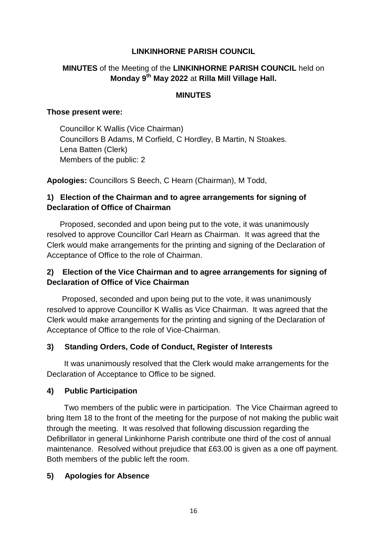#### **LINKINHORNE PARISH COUNCIL**

## **MINUTES** of the Meeting of the **LINKINHORNE PARISH COUNCIL** held on **Monday 9th May 2022** at **Rilla Mill Village Hall.**

#### **MINUTES**

#### **Those present were:**

 Councillor K Wallis (Vice Chairman) Councillors B Adams, M Corfield, C Hordley, B Martin, N Stoakes. Lena Batten (Clerk) Members of the public: 2

**Apologies:** Councillors S Beech, C Hearn (Chairman), M Todd,

## **1) Election of the Chairman and to agree arrangements for signing of Declaration of Office of Chairman**

Proposed, seconded and upon being put to the vote, it was unanimously resolved to approve Councillor Carl Hearn as Chairman. It was agreed that the Clerk would make arrangements for the printing and signing of the Declaration of Acceptance of Office to the role of Chairman.

## **2) Election of the Vice Chairman and to agree arrangements for signing of Declaration of Office of Vice Chairman**

Proposed, seconded and upon being put to the vote, it was unanimously resolved to approve Councillor K Wallis as Vice Chairman. It was agreed that the Clerk would make arrangements for the printing and signing of the Declaration of Acceptance of Office to the role of Vice-Chairman.

#### **3) Standing Orders, Code of Conduct, Register of Interests**

It was unanimously resolved that the Clerk would make arrangements for the Declaration of Acceptance to Office to be signed.

#### **4) Public Participation**

Two members of the public were in participation. The Vice Chairman agreed to bring Item 18 to the front of the meeting for the purpose of not making the public wait through the meeting. It was resolved that following discussion regarding the Defibrillator in general Linkinhorne Parish contribute one third of the cost of annual maintenance. Resolved without prejudice that £63.00 is given as a one off payment. Both members of the public left the room.

#### **5) Apologies for Absence**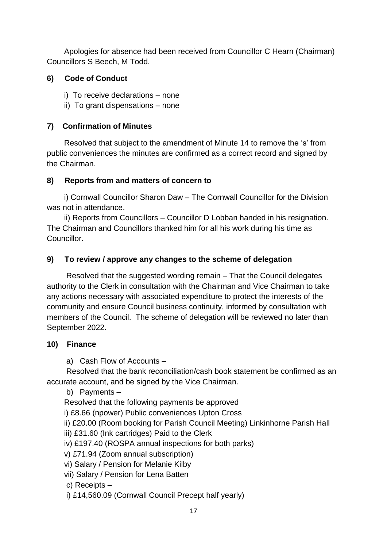Apologies for absence had been received from Councillor C Hearn (Chairman) Councillors S Beech, M Todd.

# **6) Code of Conduct**

- *i*) To receive declarations none
- ii) To grant dispensations none

## **7) Confirmation of Minutes**

Resolved that subject to the amendment of Minute 14 to remove the 's' from public conveniences the minutes are confirmed as a correct record and signed by the Chairman.

## **8) Reports from and matters of concern to**

i) Cornwall Councillor Sharon Daw – The Cornwall Councillor for the Division was not in attendance.

 ii) Reports from Councillors – Councillor D Lobban handed in his resignation. The Chairman and Councillors thanked him for all his work during his time as Councillor.

# **9) To review / approve any changes to the scheme of delegation**

 Resolved that the suggested wording remain – That the Council delegates authority to the Clerk in consultation with the Chairman and Vice Chairman to take any actions necessary with associated expenditure to protect the interests of the community and ensure Council business continuity, informed by consultation with members of the Council. The scheme of delegation will be reviewed no later than September 2022.

## **10) Finance**

a) Cash Flow of Accounts –

 Resolved that the bank reconciliation/cash book statement be confirmed as an accurate account, and be signed by the Vice Chairman.

b) Payments –

Resolved that the following payments be approved

i) £8.66 (npower) Public conveniences Upton Cross

ii) £20.00 (Room booking for Parish Council Meeting) Linkinhorne Parish Hall

iii) £31.60 (Ink cartridges) Paid to the Clerk

iv) £197.40 (ROSPA annual inspections for both parks)

v) £71.94 (Zoom annual subscription)

vi) Salary / Pension for Melanie Kilby

vii) Salary / Pension for Lena Batten

c) Receipts –

i) £14,560.09 (Cornwall Council Precept half yearly)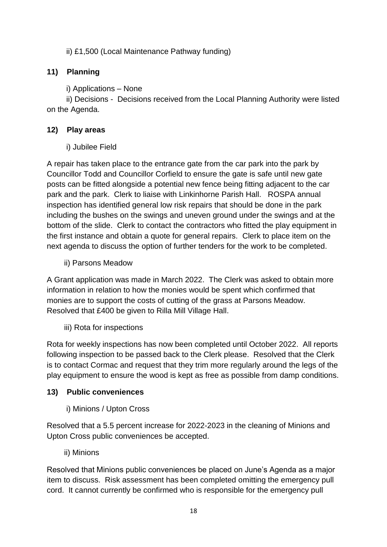ii) £1,500 (Local Maintenance Pathway funding)

# **11) Planning**

i) Applications – None

 ii) Decisions - Decisions received from the Local Planning Authority were listed on the Agenda.

# **12) Play areas**

i) Jubilee Field

A repair has taken place to the entrance gate from the car park into the park by Councillor Todd and Councillor Corfield to ensure the gate is safe until new gate posts can be fitted alongside a potential new fence being fitting adjacent to the car park and the park. Clerk to liaise with Linkinhorne Parish Hall. ROSPA annual inspection has identified general low risk repairs that should be done in the park including the bushes on the swings and uneven ground under the swings and at the bottom of the slide. Clerk to contact the contractors who fitted the play equipment in the first instance and obtain a quote for general repairs. Clerk to place item on the next agenda to discuss the option of further tenders for the work to be completed.

ii) Parsons Meadow

A Grant application was made in March 2022. The Clerk was asked to obtain more information in relation to how the monies would be spent which confirmed that monies are to support the costs of cutting of the grass at Parsons Meadow. Resolved that £400 be given to Rilla Mill Village Hall.

iii) Rota for inspections

Rota for weekly inspections has now been completed until October 2022. All reports following inspection to be passed back to the Clerk please. Resolved that the Clerk is to contact Cormac and request that they trim more regularly around the legs of the play equipment to ensure the wood is kept as free as possible from damp conditions.

# **13) Public conveniences**

i) Minions / Upton Cross

Resolved that a 5.5 percent increase for 2022-2023 in the cleaning of Minions and Upton Cross public conveniences be accepted.

ii) Minions

Resolved that Minions public conveniences be placed on June's Agenda as a major item to discuss. Risk assessment has been completed omitting the emergency pull cord. It cannot currently be confirmed who is responsible for the emergency pull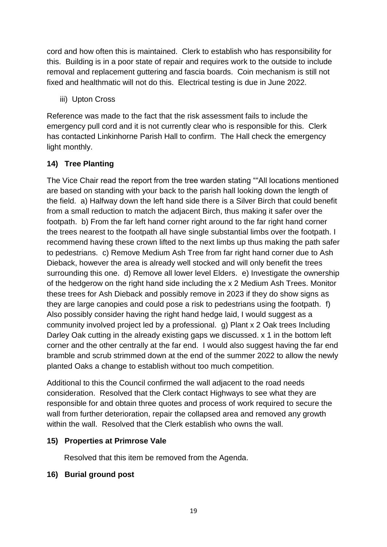cord and how often this is maintained. Clerk to establish who has responsibility for this. Building is in a poor state of repair and requires work to the outside to include removal and replacement guttering and fascia boards. Coin mechanism is still not fixed and healthmatic will not do this. Electrical testing is due in June 2022.

iii) Upton Cross

Reference was made to the fact that the risk assessment fails to include the emergency pull cord and it is not currently clear who is responsible for this. Clerk has contacted Linkinhorne Parish Hall to confirm. The Hall check the emergency light monthly.

# **14) Tree Planting**

The Vice Chair read the report from the tree warden stating ""All locations mentioned are based on standing with your back to the parish hall looking down the length of the field. a) Halfway down the left hand side there is a Silver Birch that could benefit from a small reduction to match the adjacent Birch, thus making it safer over the footpath. b) From the far left hand corner right around to the far right hand corner the trees nearest to the footpath all have single substantial limbs over the footpath. I recommend having these crown lifted to the next limbs up thus making the path safer to pedestrians. c) Remove Medium Ash Tree from far right hand corner due to Ash Dieback, however the area is already well stocked and will only benefit the trees surrounding this one. d) Remove all lower level Elders. e) Investigate the ownership of the hedgerow on the right hand side including the x 2 Medium Ash Trees. Monitor these trees for Ash Dieback and possibly remove in 2023 if they do show signs as they are large canopies and could pose a risk to pedestrians using the footpath. f) Also possibly consider having the right hand hedge laid, I would suggest as a community involved project led by a professional. g) Plant x 2 Oak trees Including Darley Oak cutting in the already existing gaps we discussed. x 1 in the bottom left corner and the other centrally at the far end. I would also suggest having the far end bramble and scrub strimmed down at the end of the summer 2022 to allow the newly planted Oaks a change to establish without too much competition.

Additional to this the Council confirmed the wall adjacent to the road needs consideration. Resolved that the Clerk contact Highways to see what they are responsible for and obtain three quotes and process of work required to secure the wall from further deterioration, repair the collapsed area and removed any growth within the wall. Resolved that the Clerk establish who owns the wall.

# **15) Properties at Primrose Vale**

Resolved that this item be removed from the Agenda.

# **16) Burial ground post**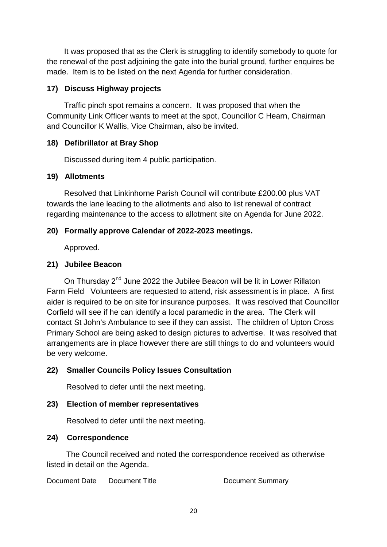It was proposed that as the Clerk is struggling to identify somebody to quote for the renewal of the post adjoining the gate into the burial ground, further enquires be made. Item is to be listed on the next Agenda for further consideration.

#### **17) Discuss Highway projects**

 Traffic pinch spot remains a concern. It was proposed that when the Community Link Officer wants to meet at the spot, Councillor C Hearn, Chairman and Councillor K Wallis, Vice Chairman, also be invited.

#### **18) Defibrillator at Bray Shop**

Discussed during item 4 public participation.

#### **19) Allotments**

 Resolved that Linkinhorne Parish Council will contribute £200.00 plus VAT towards the lane leading to the allotments and also to list renewal of contract regarding maintenance to the access to allotment site on Agenda for June 2022.

## **20) Formally approve Calendar of 2022-2023 meetings.**

Approved.

## **21) Jubilee Beacon**

On Thursday 2<sup>nd</sup> June 2022 the Jubilee Beacon will be lit in Lower Rillaton Farm Field Volunteers are requested to attend, risk assessment is in place. A first aider is required to be on site for insurance purposes. It was resolved that Councillor Corfield will see if he can identify a local paramedic in the area. The Clerk will contact St John's Ambulance to see if they can assist. The children of Upton Cross Primary School are being asked to design pictures to advertise. It was resolved that arrangements are in place however there are still things to do and volunteers would be very welcome.

## **22) Smaller Councils Policy Issues Consultation**

Resolved to defer until the next meeting.

#### **23) Election of member representatives**

Resolved to defer until the next meeting.

#### **24) Correspondence**

The Council received and noted the correspondence received as otherwise listed in detail on the Agenda.

Document Date Document Title Document Summary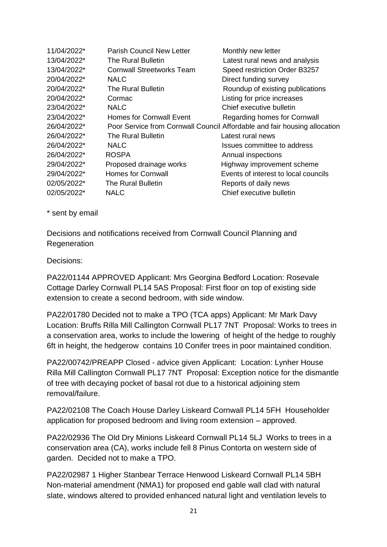| 11/04/2022* | <b>Parish Council New Letter</b> | Monthly new letter                                                        |
|-------------|----------------------------------|---------------------------------------------------------------------------|
| 13/04/2022* | The Rural Bulletin               | Latest rural news and analysis                                            |
| 13/04/2022* | <b>Cornwall Streetworks Team</b> | Speed restriction Order B3257                                             |
| 20/04/2022* | <b>NALC</b>                      | Direct funding survey                                                     |
| 20/04/2022* | The Rural Bulletin               | Roundup of existing publications                                          |
| 20/04/2022* | Cormac                           | Listing for price increases                                               |
| 23/04/2022* | <b>NALC</b>                      | Chief executive bulletin                                                  |
| 23/04/2022* | <b>Homes for Cornwall Event</b>  | Regarding homes for Cornwall                                              |
| 26/04/2022* |                                  | Poor Service from Cornwall Council Affordable and fair housing allocation |
| 26/04/2022* | The Rural Bulletin               | Latest rural news                                                         |
| 26/04/2022* | <b>NALC</b>                      | Issues committee to address                                               |
| 26/04/2022* | <b>ROSPA</b>                     | Annual inspections                                                        |
| 29/04/2022* | Proposed drainage works          | Highway improvement scheme                                                |
| 29/04/2022* | <b>Homes for Cornwall</b>        | Events of interest to local councils                                      |
| 02/05/2022* | The Rural Bulletin               | Reports of daily news                                                     |
| 02/05/2022* | <b>NALC</b>                      | Chief executive bulletin                                                  |

\* sent by email

Decisions and notifications received from Cornwall Council Planning and **Regeneration** 

Decisions:

PA22/01144 APPROVED Applicant: Mrs Georgina Bedford Location: Rosevale Cottage Darley Cornwall PL14 5AS Proposal: First floor on top of existing side extension to create a second bedroom, with side window.

PA22/01780 Decided not to make a TPO (TCA apps) Applicant: Mr Mark Davy Location: Bruffs Rilla Mill Callington Cornwall PL17 7NT Proposal: Works to trees in a conservation area, works to include the lowering of height of the hedge to roughly 6ft in height, the hedgerow contains 10 Conifer trees in poor maintained condition.

PA22/00742/PREAPP Closed - advice given Applicant: Location: Lynher House Rilla Mill Callington Cornwall PL17 7NT Proposal: Exception notice for the dismantle of tree with decaying pocket of basal rot due to a historical adjoining stem removal/failure.

PA22/02108 The Coach House Darley Liskeard Cornwall PL14 5FH Householder application for proposed bedroom and living room extension – approved.

PA22/02936 The Old Dry Minions Liskeard Cornwall PL14 5LJ Works to trees in a conservation area (CA), works include fell 8 Pinus Contorta on western side of garden. Decided not to make a TPO.

PA22/02987 1 Higher Stanbear Terrace Henwood Liskeard Cornwall PL14 5BH Non-material amendment (NMA1) for proposed end gable wall clad with natural slate, windows altered to provided enhanced natural light and ventilation levels to